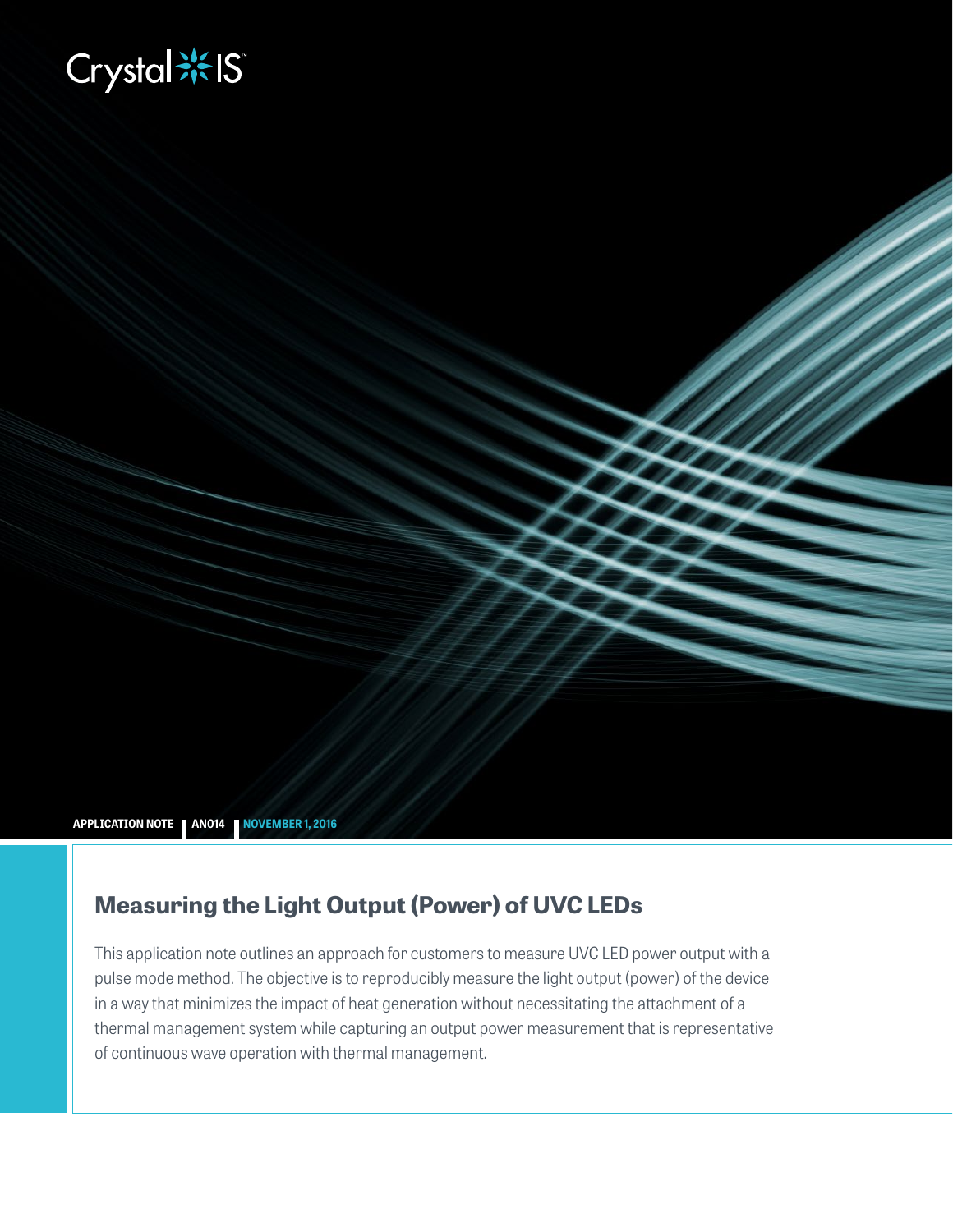# **Biography**



# **Measuring the Light Output (Power) of UVC LEDs**

This application note outlines an approach for customers to measure UVC LED power output with a pulse mode method. The objective is to reproducibly measure the light output (power) of the device in a way that minimizes the impact of heat generation without necessitating the attachment of a thermal management system while capturing an output power measurement that is representative of continuous wave operation with thermal management.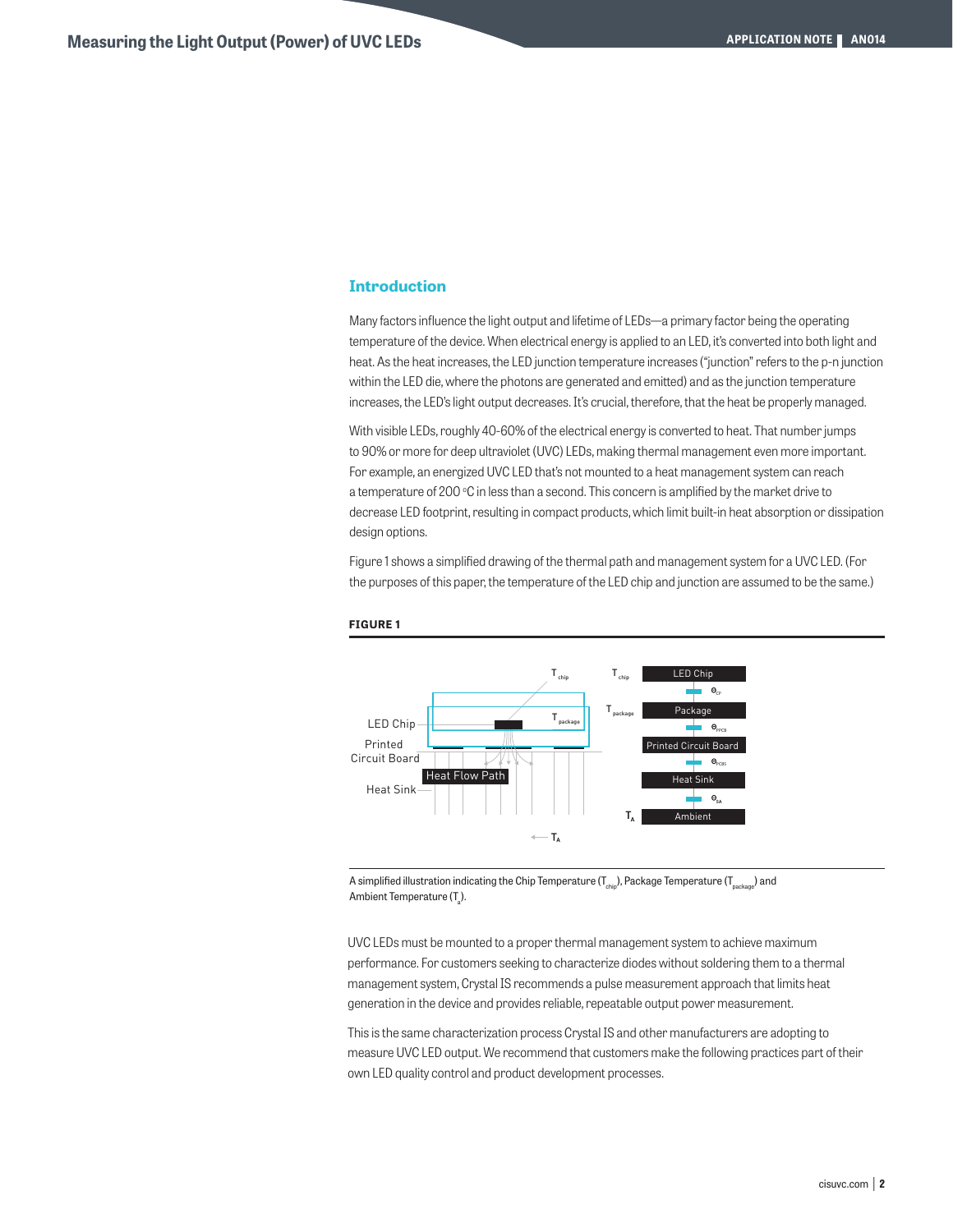# **Introduction**

Many factors influence the light output and lifetime of LEDs—a primary factor being the operating temperature of the device. When electrical energy is applied to an LED, it's converted into both light and heat. As the heat increases, the LED junction temperature increases ("junction" refers to the p-n junction within the LED die, where the photons are generated and emitted) and as the junction temperature increases, the LED's light output decreases. It's crucial, therefore, that the heat be properly managed.

With visible LEDs, roughly 40-60% of the electrical energy is converted to heat. That number jumps to 90% or more for deep ultraviolet (UVC) LEDs, making thermal management even more important. For example, an energized UVC LED that's not mounted to a heat management system can reach a temperature of 200 °C in less than a second. This concern is amplified by the market drive to decrease LED footprint, resulting in compact products, which limit built-in heat absorption or dissipation design options.

Figure 1 shows a simplified drawing of the thermal path and management system for a UVC LED. (For the purposes of this paper, the temperature of the LED chip and junction are assumed to be the same.)





A simplified illustration indicating the Chip Temperature ( $T_{\text{chib}}$ ), Package Temperature ( $T_{\text{package}}$ ) and Ambient Temperature (T<sub>a</sub>).

UVC LEDs must be mounted to a proper thermal management system to achieve maximum performance. For customers seeking to characterize diodes without soldering them to a thermal management system, Crystal IS recommends a pulse measurement approach that limits heat generation in the device and provides reliable, repeatable output power measurement.

This is the same characterization process Crystal IS and other manufacturers are adopting to measure UVC LED output. We recommend that customers make the following practices part of their own LED quality control and product development processes.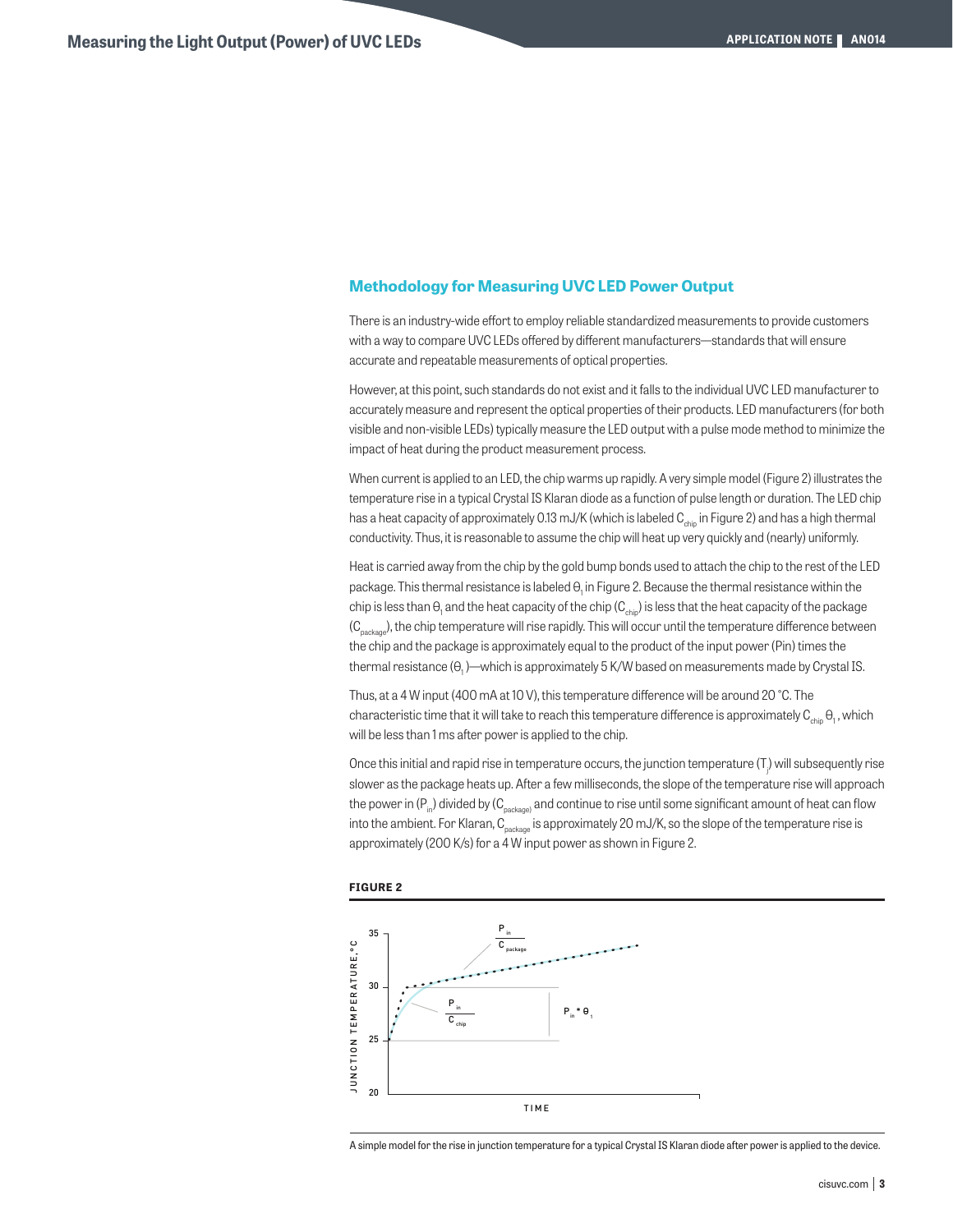# **Methodology for Measuring UVC LED Power Output**

There is an industry-wide effort to employ reliable standardized measurements to provide customers with a way to compare UVC LEDs offered by different manufacturers—standards that will ensure accurate and repeatable measurements of optical properties.

However, at this point, such standards do not exist and it falls to the individual UVC LED manufacturer to accurately measure and represent the optical properties of their products. LED manufacturers (for both visible and non-visible LEDs) typically measure the LED output with a pulse mode method to minimize the impact of heat during the product measurement process.

When current is applied to an LED, the chip warms up rapidly. A very simple model (Figure 2) illustrates the temperature rise in a typical Crystal IS Klaran diode as a function of pulse length or duration. The LED chip has a heat capacity of approximately 0.13 mJ/K (which is labeled C<sub>chip</sub> in Figure 2) and has a high thermal conductivity. Thus, it is reasonable to assume the chip will heat up very quickly and (nearly) uniformly.

Heat is carried away from the chip by the gold bump bonds used to attach the chip to the rest of the LED package. This thermal resistance is labeled  $\Theta_\text{i}$  in Figure 2. Because the thermal resistance within the chip is less than  $\Theta_{\rm i}$  and the heat capacity of the chip (C $_{\rm chip}$ ) is less that the heat capacity of the package  $(C_{\text{parang}})$ , the chip temperature will rise rapidly. This will occur until the temperature difference between the chip and the package is approximately equal to the product of the input power (Pin) times the thermal resistance (θ<sub>1</sub> )—which is approximately 5 K/W based on measurements made by Crystal IS.

Thus, at a 4 W input (400 mA at 10 V), this temperature difference will be around 20 °C. The characteristic time that it will take to reach this temperature difference is approximately  $\mathtt{C}_{_{chip}}$   $\mathtt{\theta}_{_{1}}$  , which will be less than 1 ms after power is applied to the chip.

Once this initial and rapid rise in temperature occurs, the junction temperature (T<sub>;</sub>) will subsequently rise slower as the package heats up. After a few milliseconds, the slope of the temperature rise will approach the power in (P<sub>in</sub>) divided by (C<sub>package</sub>) and continue to rise until some significant amount of heat can flow into the ambient. For Klaran, C<sub>package</sub> is approximately 20 mJ/K, so the slope of the temperature rise is approximately (200 K/s) for a 4 W input power as shown in Figure 2.



#### **FIGURE 2**

A simple model for the rise in junction temperature for a typical Crystal IS Klaran diode after power is applied to the device.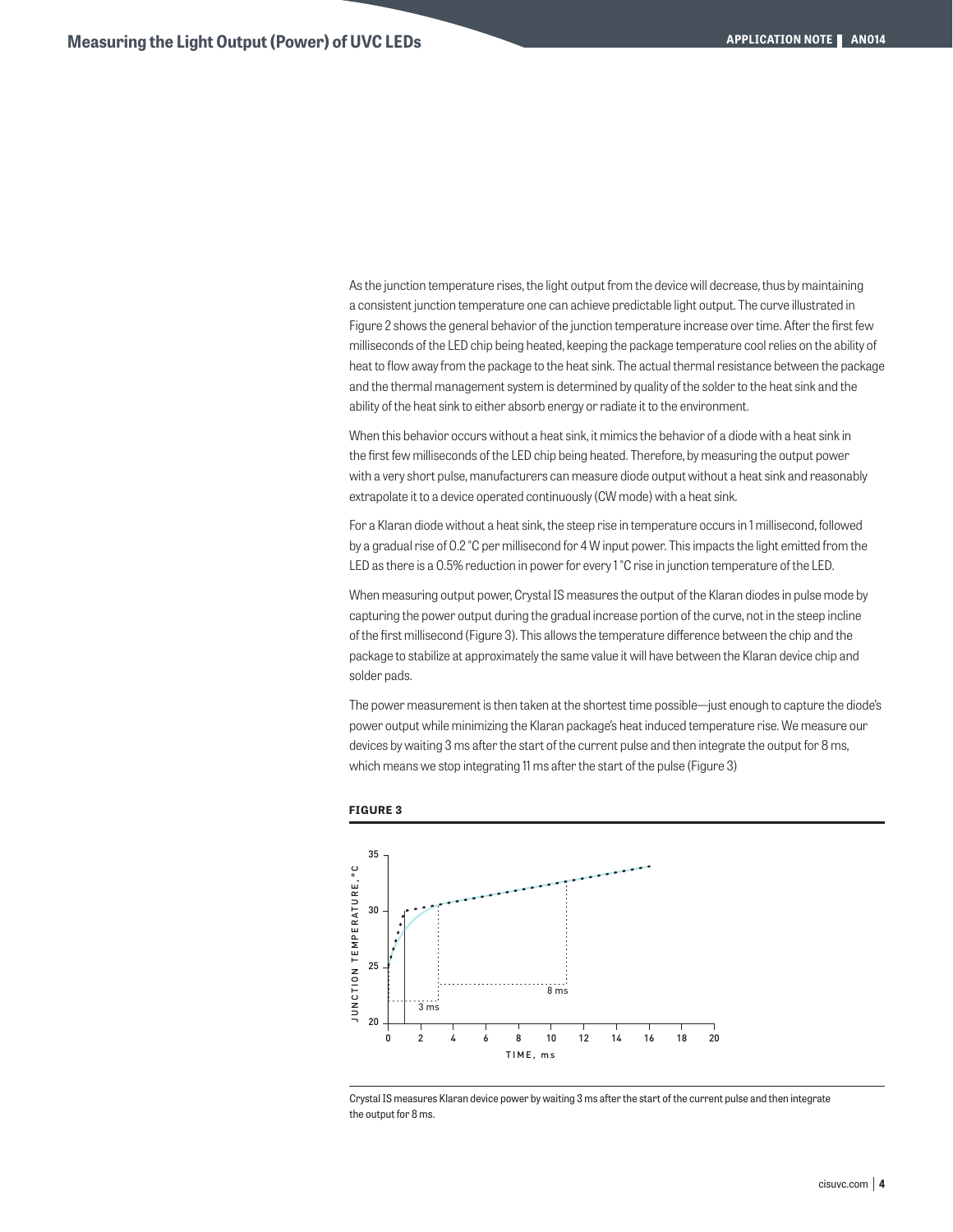As the junction temperature rises, the light output from the device will decrease, thus by maintaining a consistent junction temperature one can achieve predictable light output. The curve illustrated in Figure 2 shows the general behavior of the junction temperature increase over time. After the first few milliseconds of the LED chip being heated, keeping the package temperature cool relies on the ability of heat to flow away from the package to the heat sink. The actual thermal resistance between the package and the thermal management system is determined by quality of the solder to the heat sink and the ability of the heat sink to either absorb energy or radiate it to the environment.

When this behavior occurs without a heat sink, it mimics the behavior of a diode with a heat sink in the first few milliseconds of the LED chip being heated. Therefore, by measuring the output power with a very short pulse, manufacturers can measure diode output without a heat sink and reasonably extrapolate it to a device operated continuously (CW mode) with a heat sink.

For a Klaran diode without a heat sink, the steep rise in temperature occurs in 1 millisecond, followed by a gradual rise of 0.2 °C per millisecond for 4 W input power. This impacts the light emitted from the LED as there is a 0.5% reduction in power for every 1 °C rise in junction temperature of the LED.

When measuring output power, Crystal IS measures the output of the Klaran diodes in pulse mode by capturing the power output during the gradual increase portion of the curve, not in the steep incline of the first millisecond (Figure 3). This allows the temperature difference between the chip and the package to stabilize at approximately the same value it will have between the Klaran device chip and solder pads.

The power measurement is then taken at the shortest time possible—just enough to capture the diode's power output while minimizing the Klaran package's heat induced temperature rise. We measure our devices by waiting 3 ms after the start of the current pulse and then integrate the output for 8 ms, which means we stop integrating 11 ms after the start of the pulse (Figure 3)



## **FIGURE 3**

Crystal IS measures Klaran device power by waiting 3 ms after the start of the current pulse and then integrate the output for 8 ms.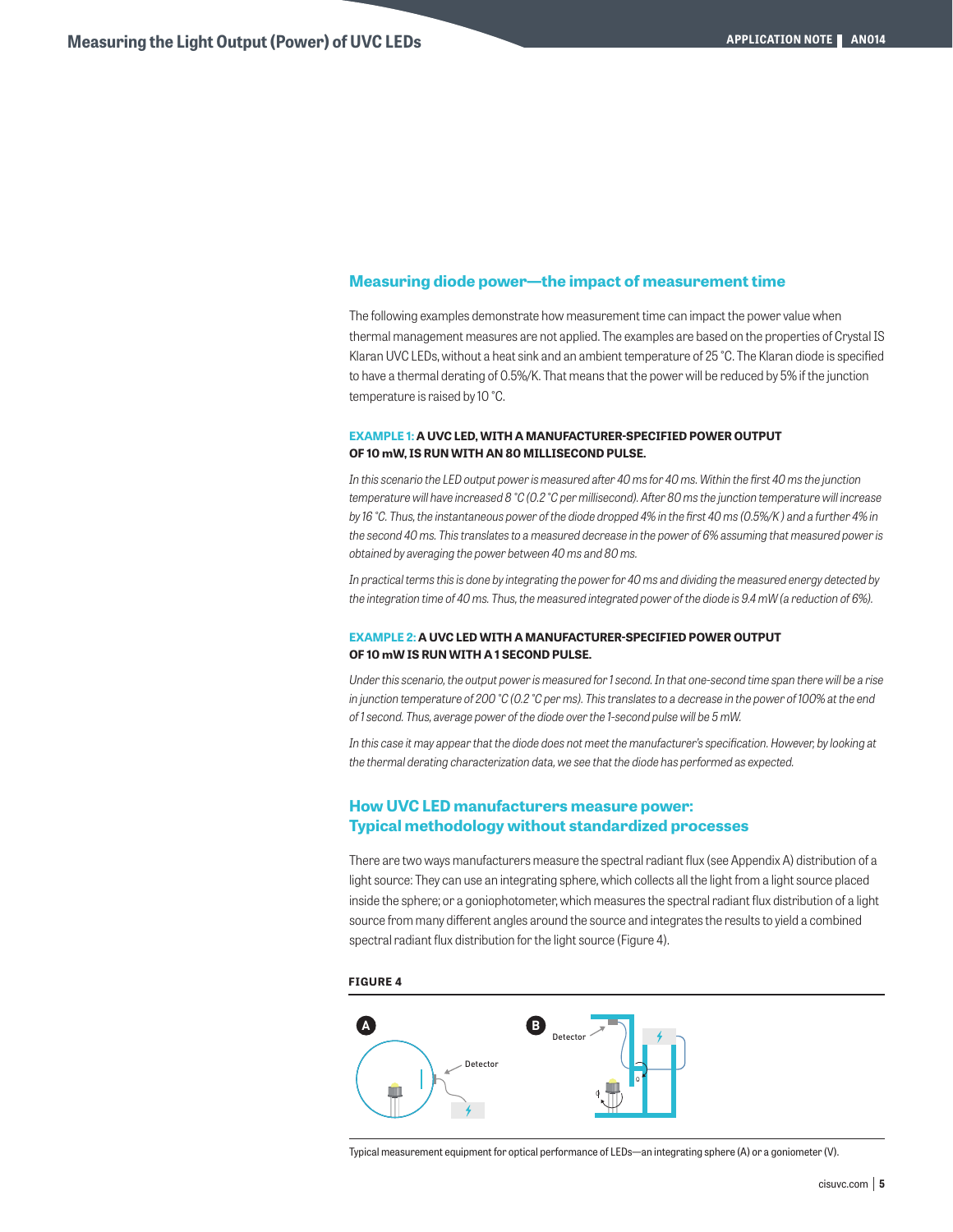# **Measuring diode power—the impact of measurement time**

The following examples demonstrate how measurement time can impact the power value when thermal management measures are not applied. The examples are based on the properties of Crystal IS Klaran UVC LEDs, without a heat sink and an ambient temperature of 25 °C. The Klaran diode is specified to have a thermal derating of 0.5%/K. That means that the power will be reduced by 5% if the junction temperature is raised by 10 °C.

# **EXAMPLE 1: A UVC LED, WITH A MANUFACTURER-SPECIFIED POWER OUTPUT OF 10 mW, IS RUN WITH AN 80 MILLISECOND PULSE.**

*In this scenario the LED output power is measured after 40 ms for 40 ms. Within the first 40 ms the junction temperature will have increased 8 °C (0.2 °C per millisecond). After 80 ms the junction temperature will increase by 16 °C. Thus, the instantaneous power of the diode dropped 4% in the first 40 ms (0.5%/K) and a further 4% in the second 40 ms. This translates to a measured decrease in the power of 6% assuming that measured power is obtained by averaging the power between 40 ms and 80 ms.*

*In practical terms this is done by integrating the power for 40 ms and dividing the measured energy detected by the integration time of 40 ms. Thus, the measured integrated power of the diode is 9.4 mW (a reduction of 6%).*

# **EXAMPLE 2: A UVC LED WITH A MANUFACTURER-SPECIFIED POWER OUTPUT OF 10 mW IS RUN WITH A 1 SECOND PULSE.**

*Under this scenario, the output power is measured for 1 second. In that one-second time span there will be a rise in junction temperature of 200 °C (0.2 °C per ms). This translates to a decrease in the power of 100% at the end of 1 second. Thus, average power of the diode over the 1-second pulse will be 5 mW.*

In this case it may appear that the diode does not meet the manufacturer's specification. However, by looking at *the thermal derating characterization data, we see that the diode has performed as expected.*

# **How UVC LED manufacturers measure power: Typical methodology without standardized processes**

There are two ways manufacturers measure the spectral radiant flux (see Appendix A) distribution of a light source: They can use an integrating sphere, which collects all the light from a light source placed inside the sphere; or a goniophotometer, which measures the spectral radiant flux distribution of a light source from many different angles around the source and integrates the results to yield a combined spectral radiant flux distribution for the light source (Figure 4).

**FIGURE 4**



Typical measurement equipment for optical performance of LEDs—an integrating sphere (A) or a goniometer (V).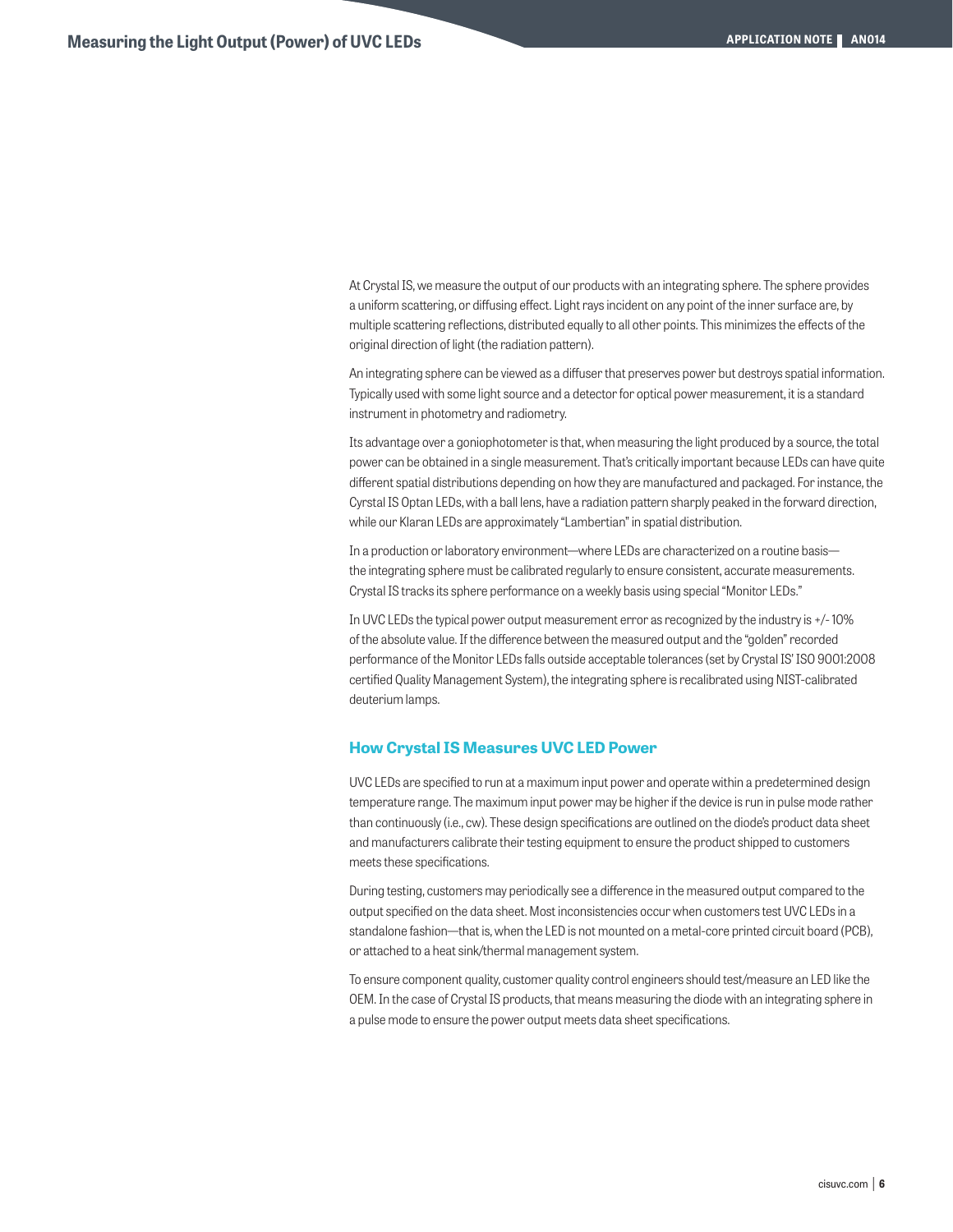At Crystal IS, we measure the output of our products with an integrating sphere. The sphere provides a uniform scattering, or diffusing effect. Light rays incident on any point of the inner surface are, by multiple scattering reflections, distributed equally to all other points. This minimizes the effects of the original direction of light (the radiation pattern).

An integrating sphere can be viewed as a diffuser that preserves power but destroys spatial information. Typically used with some light source and a detector for optical power measurement, it is a standard instrument in photometry and radiometry.

Its advantage over a goniophotometer is that, when measuring the light produced by a source, the total power can be obtained in a single measurement. That's critically important because LEDs can have quite different spatial distributions depending on how they are manufactured and packaged. For instance, the Cyrstal IS Optan LEDs, with a ball lens, have a radiation pattern sharply peaked in the forward direction, while our Klaran LEDs are approximately "Lambertian" in spatial distribution.

In a production or laboratory environment—where LEDs are characterized on a routine basis the integrating sphere must be calibrated regularly to ensure consistent, accurate measurements. Crystal IS tracks its sphere performance on a weekly basis using special "Monitor LEDs."

In UVC LEDs the typical power output measurement error as recognized by the industry is +/- 10% of the absolute value. If the difference between the measured output and the "golden" recorded performance of the Monitor LEDs falls outside acceptable tolerances (set by Crystal IS' ISO 9001:2008 certified Quality Management System), the integrating sphere is recalibrated using NIST-calibrated deuterium lamps.

# **How Crystal IS Measures UVC LED Power**

UVC LEDs are specified to run at a maximum input power and operate within a predetermined design temperature range. The maximum input power may be higher if the device is run in pulse mode rather than continuously (i.e., cw). These design specifications are outlined on the diode's product data sheet and manufacturers calibrate their testing equipment to ensure the product shipped to customers meets these specifications.

During testing, customers may periodically see a difference in the measured output compared to the output specified on the data sheet. Most inconsistencies occur when customers test UVC LEDs in a standalone fashion—that is, when the LED is not mounted on a metal-core printed circuit board (PCB), or attached to a heat sink/thermal management system.

To ensure component quality, customer quality control engineers should test/measure an LED like the OEM. In the case of Crystal IS products, that means measuring the diode with an integrating sphere in a pulse mode to ensure the power output meets data sheet specifications.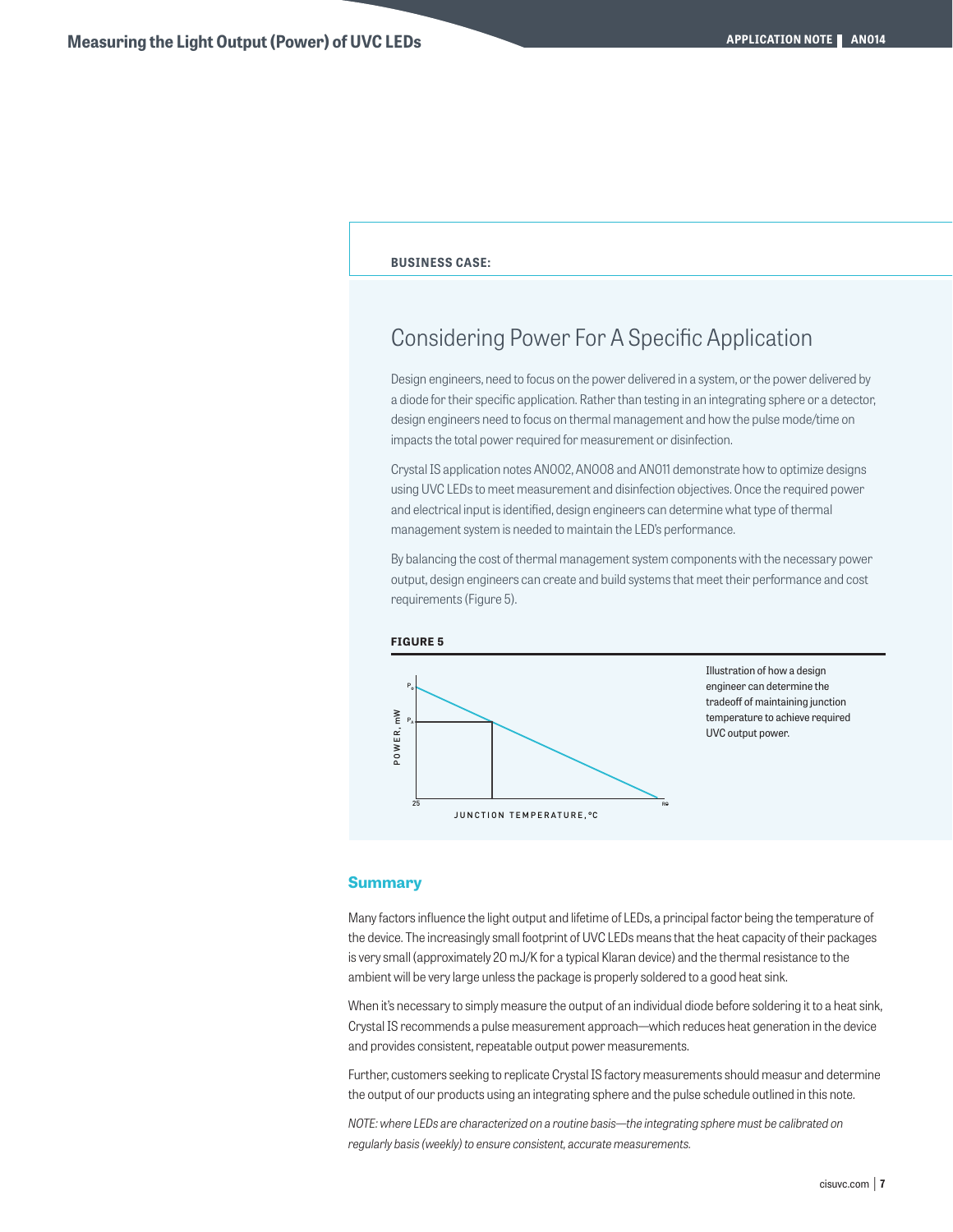## **BUSINESS CASE:**

# Considering Power For A Specific Application

Design engineers, need to focus on the power delivered in a system, or the power delivered by a diode for their specific application. Rather than testing in an integrating sphere or a detector, design engineers need to focus on thermal management and how the pulse mode/time on impacts the total power required for measurement or disinfection.

Crystal IS application notes AN002, AN008 and AN011 demonstrate how to optimize designs using UVC LEDs to meet measurement and disinfection objectives. Once the required power and electrical input is identified, design engineers can determine what type of thermal management system is needed to maintain the LED's performance.

By balancing the cost of thermal management system components with the necessary power output, design engineers can create and build systems that meet their performance and cost requirements (Figure 5).





## **Summary**

Many factors influence the light output and lifetime of LEDs, a principal factor being the temperature of the device. The increasingly small footprint of UVC LEDs means that the heat capacity of their packages is very small (approximately 20 mJ/K for a typical Klaran device) and the thermal resistance to the ambient will be very large unless the package is properly soldered to a good heat sink.

When it's necessary to simply measure the output of an individual diode before soldering it to a heat sink, Crystal IS recommends a pulse measurement approach—which reduces heat generation in the device and provides consistent, repeatable output power measurements.

Further, customers seeking to replicate Crystal IS factory measurements should measur and determine the output of our products using an integrating sphere and the pulse schedule outlined in this note.

*NOTE: where LEDs are characterized on a routine basis—the integrating sphere must be calibrated on regularly basis (weekly) to ensure consistent, accurate measurements.*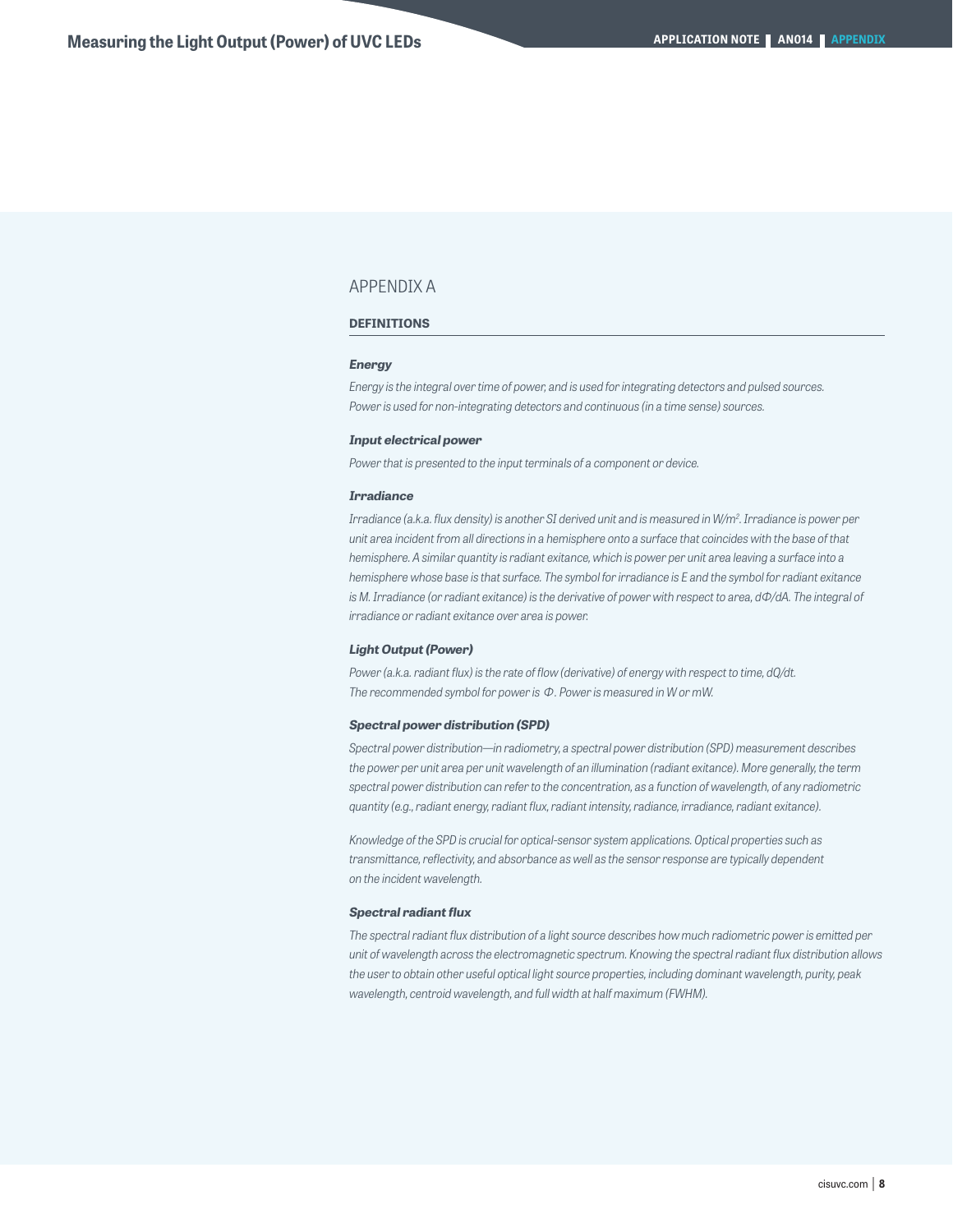# APPENDIX A

## **DEFINITIONS**

#### *Energy*

*Energy is the integral over time of power, and is used for integrating detectors and pulsed sources. Power is used for non-integrating detectors and continuous (in a time sense) sources.*

## *Input electrical power*

*Power that is presented to the input terminals of a component or device.*

### *Irradiance*

*Irradiance (a.k.a. flux density) is another SI derived unit and is measured in W/m2 . Irradiance is power per unit area incident from all directions in a hemisphere onto a surface that coincides with the base of that hemisphere. A similar quantity is radiant exitance, which is power per unit area leaving a surface into a hemisphere whose base is that surface. The symbol for irradiance is E and the symbol for radiant exitance is M. Irradiance (or radiant exitance) is the derivative of power with respect to area, dΦ/dA. The integral of irradiance or radiant exitance over area is power.*

## *Light Output (Power)*

*Power (a.k.a. radiant flux) is the rate of flow (derivative) of energy with respect to time, dQ/dt. The recommended symbol for power is* Φ *. Power is measured in W or mW.*

## *Spectral power distribution (SPD)*

*Spectral power distribution—in radiometry, a spectral power distribution (SPD) measurement describes the power per unit area per unit wavelength of an illumination (radiant exitance). More generally, the term spectral power distribution can refer to the concentration, as a function of wavelength, of any radiometric quantity (e.g., radiant energy, radiant flux, radiant intensity, radiance, irradiance, radiant exitance).*

*Knowledge of the SPD is crucial for optical-sensor system applications. Optical properties such as transmittance, reflectivity, and absorbance as well as the sensor response are typically dependent on the incident wavelength.*

## *Spectral radiant flux*

*The spectral radiant flux distribution of a light source describes how much radiometric power is emitted per unit of wavelength across the electromagnetic spectrum. Knowing the spectral radiant flux distribution allows the user to obtain other useful optical light source properties, including dominant wavelength, purity, peak wavelength, centroid wavelength, and full width at half maximum (FWHM).*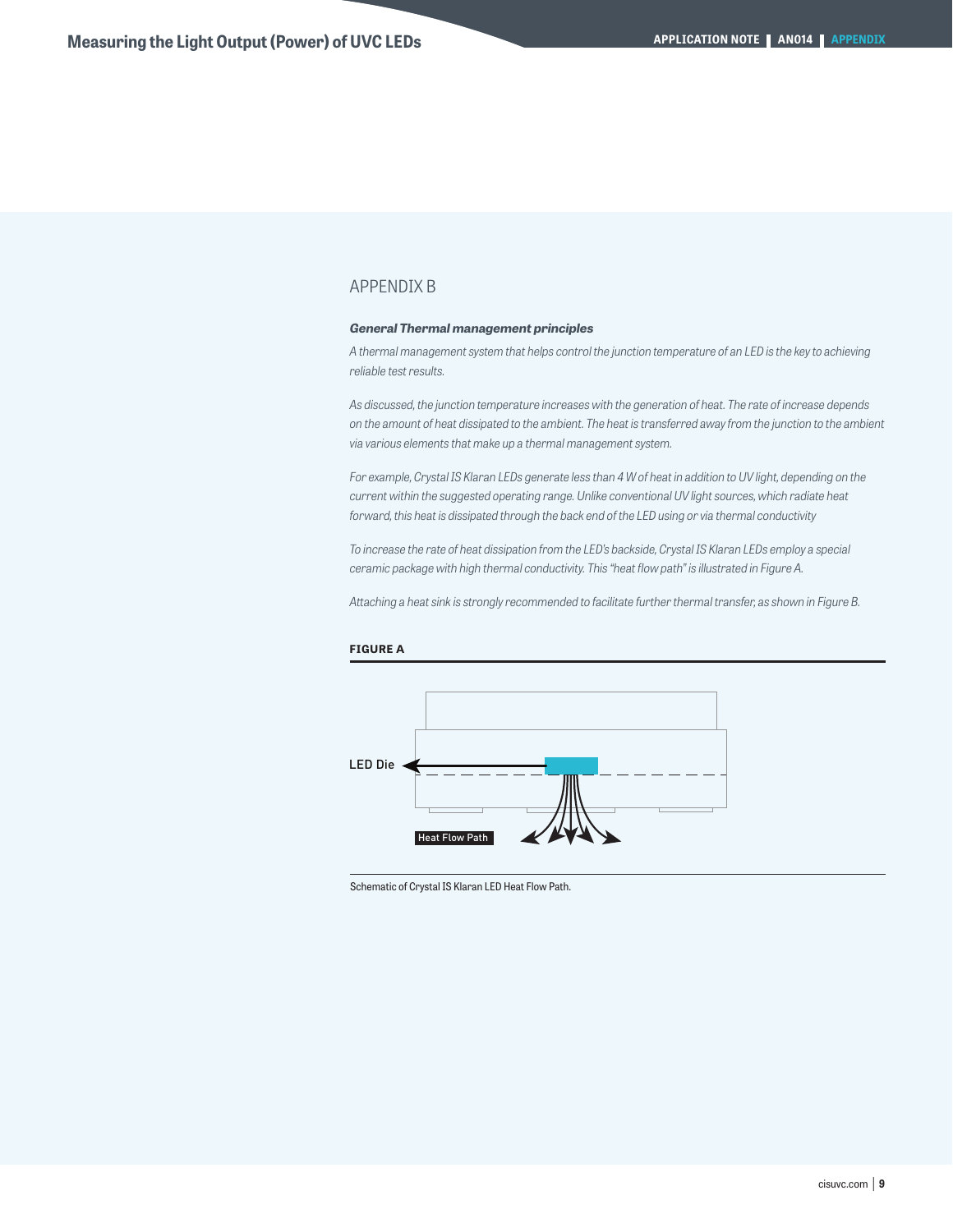# APPENDIX B

# *General Thermal management principles*

*A thermal management system that helps control the junction temperature of an LED is the key to achieving reliable test results.*

*As discussed, the junction temperature increases with the generation of heat. The rate of increase depends on the amount of heat dissipated to the ambient. The heat is transferred away from the junction to the ambient via various elements that make up a thermal management system.*

*For example, Crystal IS Klaran LEDs generate less than 4 W of heat in addition to UV light, depending on the current within the suggested operating range. Unlike conventional UV light sources, which radiate heat forward, this heat is dissipated through the back end of the LED using or via thermal conductivity*

*To increase the rate of heat dissipation from the LED's backside, Crystal IS Klaran LEDs employ a special ceramic package with high thermal conductivity. This "heat flow path" is illustrated in Figure A.*

*Attaching a heat sink is strongly recommended to facilitate further thermal transfer, as shown in Figure B.*



# **FIGURE A**

Schematic of Crystal IS Klaran LED Heat Flow Path.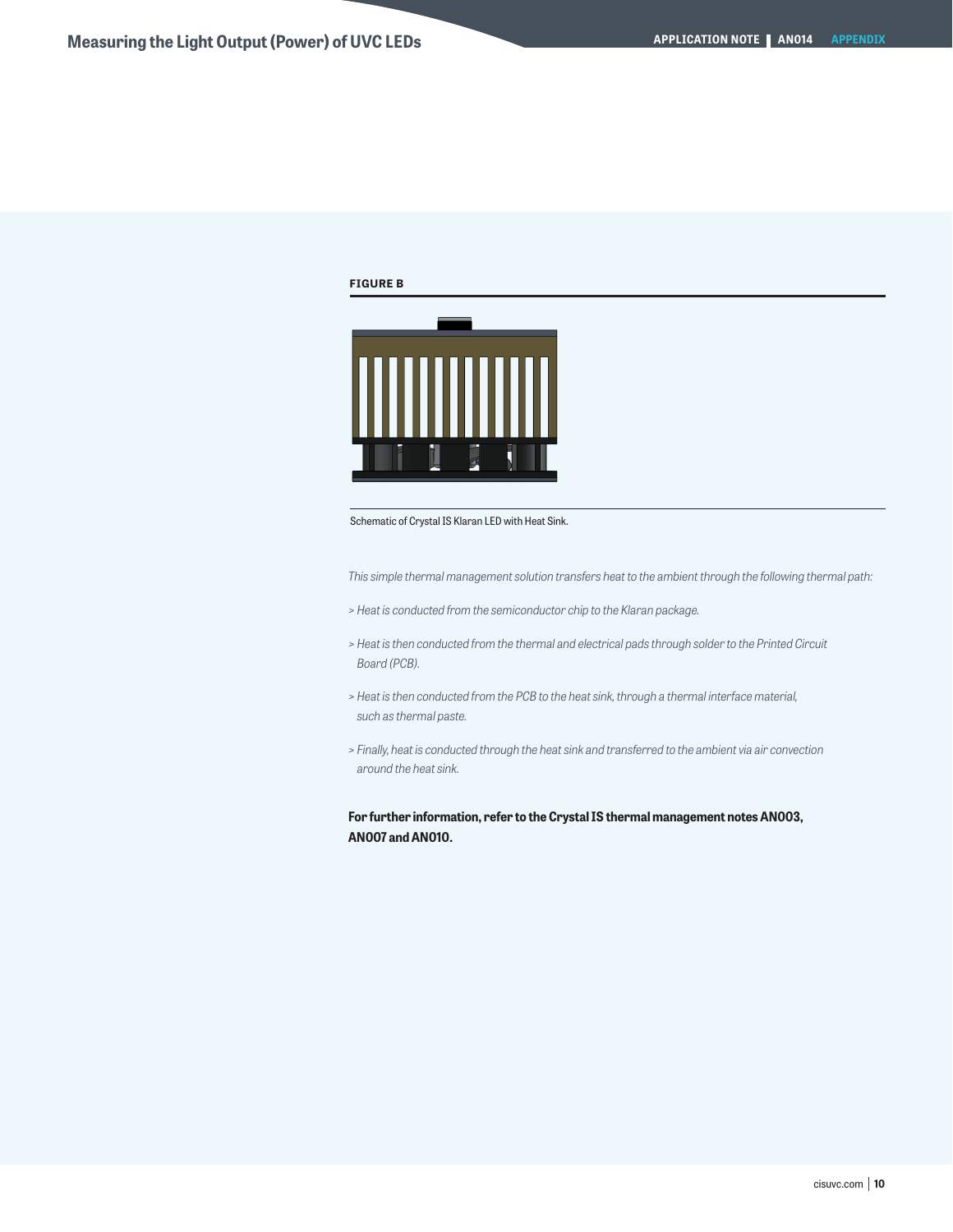# **FIGURE B**



Schematic of Crystal IS Klaran LED with Heat Sink.

*This simple thermal management solution transfers heat to the ambient through the following thermal path:*

- *> Heat is conducted from the semiconductor chip to the Klaran package.*
- *> Heat is then conducted from the thermal and electrical pads through solder to the Printed Circuit Board (PCB).*
- *> Heat is then conducted from the PCB to the heat sink, through a thermal interface material, such as thermal paste.*
- *> Finally, heat is conducted through the heat sink and transferred to the ambient via air convection around the heat sink.*

**For further information, refer to the Crystal IS thermal management notes AN003, AN007 and AN010.**